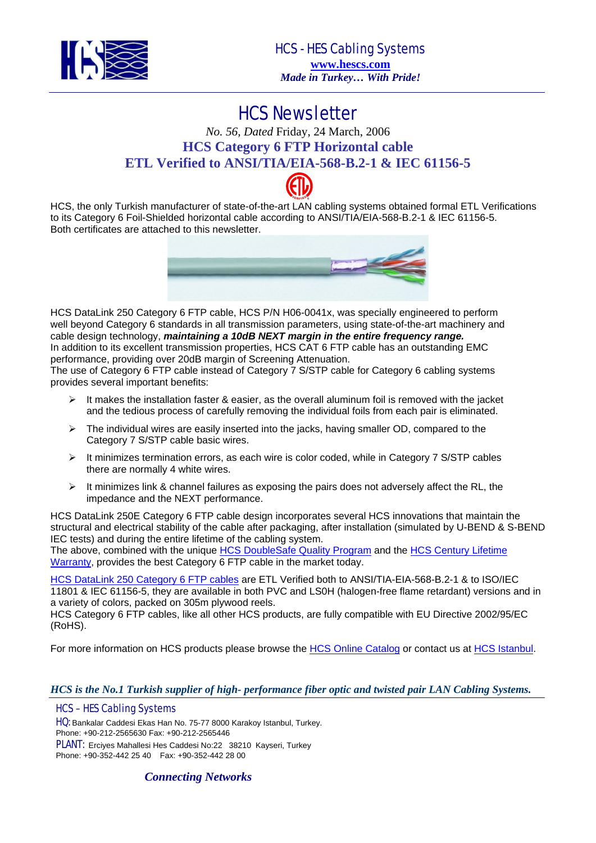

HCS Newsletter *No. 56, Dated* Friday, 24 March, 2006 **HCS Category 6 FTP Horizontal cable ETL Verified to ANSI/TIA/EIA-568-B.2-1 & IEC 61156-5** 

HCS, the only Turkish manufacturer of state-of-the-art LAN cabling systems obtained formal ETL Verifications to its Category 6 Foil-Shielded horizontal cable according to ANSI/TIA/EIA-568-B.2-1 & IEC 61156-5. Both certificates are attached to this newsletter.



HCS DataLink 250 Category 6 FTP cable, HCS P/N H06-0041x, was specially engineered to perform well beyond Category 6 standards in all transmission parameters, using state-of-the-art machinery and cable design technology, *maintaining a 10dB NEXT margin in the entire frequency range.*  In addition to its excellent transmission properties, HCS CAT 6 FTP cable has an outstanding EMC performance, providing over 20dB margin of Screening Attenuation.

The use of Category 6 FTP cable instead of Category 7 S/STP cable for Category 6 cabling systems provides several important benefits:

- $\triangleright$  It makes the installation faster & easier, as the overall aluminum foil is removed with the jacket and the tedious process of carefully removing the individual foils from each pair is eliminated.
- ¾ The individual wires are easily inserted into the jacks, having smaller OD, compared to the Category 7 S/STP cable basic wires.
- ¾ It minimizes termination errors, as each wire is color coded, while in Category 7 S/STP cables there are normally 4 white wires.
- ¾ It minimizes link & channel failures as exposing the pairs does not adversely affect the RL, the impedance and the NEXT performance.

HCS DataLink 250E Category 6 FTP cable design incorporates several HCS innovations that maintain the structural and electrical stability of the cable after packaging, after installation (simulated by U-BEND & S-BEND IEC tests) and during the entire lifetime of the cabling system.

The above, combined with the unique [HCS DoubleSafe Quality Program](http://hescs.com/eng/?s=quality.htm) and the [HCS Century Lifetime](http://hescs.com/eng/?s=warranty.htm)  [Warranty](http://hescs.com/eng/?s=warranty.htm), provides the best Category 6 FTP cable in the market today.

[HCS DataLink 250 Category 6 FTP cables](http://hescs.com/katalogen/?dosya=66.htm) are ETL Verified both to ANSI/TIA-EIA-568-B.2-1 & to ISO/IEC 11801 & IEC 61156-5, they are available in both PVC and LS0H (halogen-free flame retardant) versions and in a variety of colors, packed on 305m plywood reels.

HCS Category 6 FTP cables, like all other HCS products, are fully compatible with EU Directive 2002/95/EC (RoHS).

For more information on HCS products please browse the [HCS Online Catalog](http://hescs.com/katalogen/) or contact us at [HCS Istanbul.](http://hescs.com/eng/?s=contact.php)

#### *HCS is the No.1 Turkish supplier of high- performance fiber optic and twisted pair LAN Cabling Systems.*

#### HCS – HES Cabling Systems

HQ: Bankalar Caddesi Ekas Han No. 75-77 8000 Karakoy Istanbul, Turkey. Phone: +90-212-2565630 Fax: +90-212-2565446

PLANT: Erciyes Mahallesi Hes Caddesi No:22 38210 Kayseri, Turkey Phone: +90-352-442 25 40 Fax: +90-352-442 28 00

*Connecting Networks*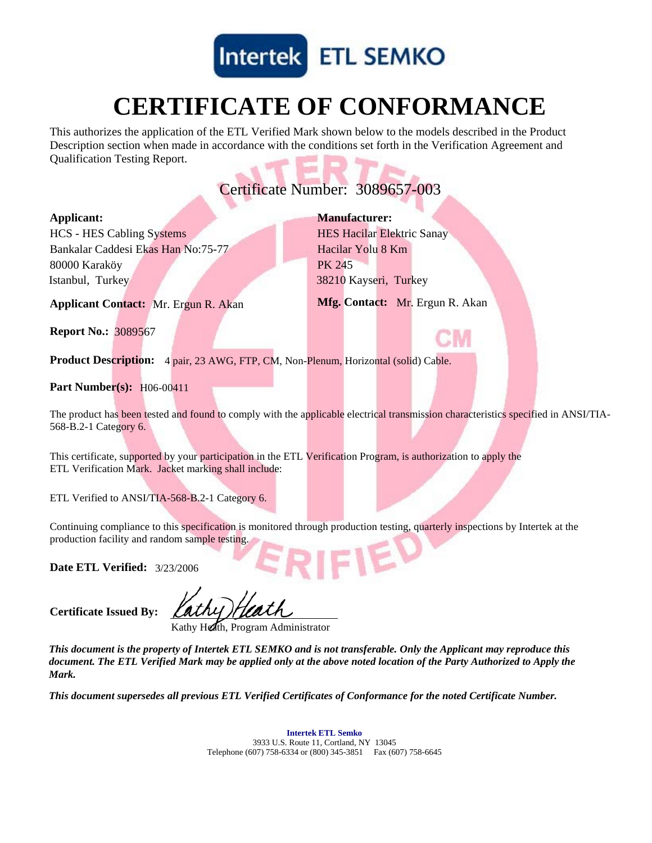

# **CERTIFICATE OF CONFORMANCE**

This authorizes the application of the ETL Verified Mark shown below to the models described in the Product Description section when made in accordance with the conditions set forth in the Verification Agreement and Qualification Testing Report.

## Certificate Number: 3089657-003

#### **Applicant:**

Istanbul, Turkey Bankalar Caddesi Ekas Han No:75-77 HCS - HES Cabling Systems 80000 Karaköy

38210 Kayseri, Turkey Hacilar Yolu 8 Km **Manufacturer:** HES Hacilar Elektric Sanay PK 245

**Applicant Contact:** Mr. Ergun R. Akan **Mfg. Contact:** Mr. Ergun R. Akan

**Report No.:** 3089567

**Product Description:** 4 pair, 23 AWG, FTP, CM, Non-Plenum, Horizontal (solid) Cable.

### **Part Number(s):** H06-00411

The product has been tested and found to comply with the applicable electrical transmission characteristics specified in ANSI/TIA-568-B.2-1 Category 6.

This certificate, supported by your participation in the ETL Verification Program, is authorization to apply the ETL Verification Mark. Jacket marking shall include:

ETL Verified to ANSI/TIA-568-B.2-1 Category 6.

Continuing compliance to this specification is monitored through production testing, quarterly inspections by Intertek at the production facility and random sample testing.

3/23/2006 **Date ETL Verified:**

**Certificate Issued By:**

Kathy Heath, Program Administrator

*This document is the property of Intertek ETL SEMKO and is not transferable. Only the Applicant may reproduce this document. The ETL Verified Mark may be applied only at the above noted location of the Party Authorized to Apply the Mark.*

*This document supersedes all previous ETL Verified Certificates of Conformance for the noted Certificate Number.*

**Intertek ETL Semko** 3933 U.S. Route 11, Cortland, NY 13045 Telephone (607) 758-6334 or (800) 345-3851 Fax (607) 758-6645